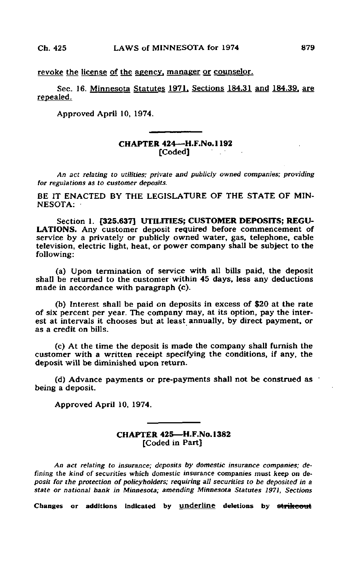revoke the license of the agency, manager or counselor.

Sec. 16. Minnesota Statutes 1971, Sections 184.31 and 184.39. are repealed.

Approved April 10, 1974.

## CHAPTER 424—H.F.No. 1192 [Coded]

An act relating to utilities; private and publicly owned companies; providing for regulations as to customer deposits.

BE IT ENACTED BY THE LEGISLATURE OF THE STATE OF MIN-NESOTA:

Section 1. [325.637] UTILITIES; CUSTOMER DEPOSITS; REGU-LATIONS. Any customer deposit required before commencement of service by a privately or publicly owned water, gas, telephone, cable television, electric light, heat, or power company shall be subject to the following:

(a) Upon termination of service with all bills paid, the deposit shall be returned to the customer within 45 days, less any deductions made in accordance with paragraph (c).

(b) Interest shall be paid on deposits in excess of \$20 at the rate of six percent per year. The company may, at its option, pay the interest at intervals it chooses but at least annually, by direct payment, or as a credit on bills.

(c) At the time the deposit is made the company shall furnish the customer with a written receipt specifying the conditions, if any, the deposit will be diminished upon return.

(d) Advance payments or pre-payments shall not be construed as being a deposit.

Approved April 10, 1974.

## CHAPTER 425—H.F.No. 1382 [Coded in Part]

An act relating to insurance; deposits by domestic insurance companies; defining the kind of securities which domestic insurance companies must keep on deposit for the protection of policyholders; requiring all securities to be deposited in a state or national bank in Minnesota; amending Minnesota Statutes 1971, Sections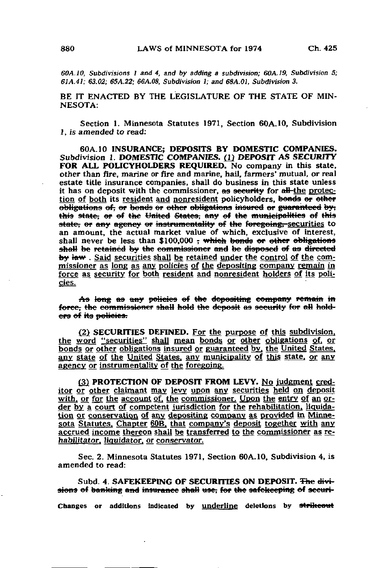60A.10, Subdivisions 1 and 4, and by adding a subdivision; GOA.19, Subdivision 5; 61A.41; 63.02; 65A.22; 66A.08, Subdivision 1; and 68A.01, Subdivision 3.

BE IT ENACTED BY THE LEGISLATURE OF THE STATE OF MIN-NESOTA:

Section 1. Minnesota Statutes 1971, Section 60A.10, Subdivision 1, is amended to read:

60A.10 INSURANCE; DEPOSITS BY DOMESTIC COMPANIES. Subdivision 1. DOMESTIC COMPANIES. (1) DEPOSIT AS SECURITY FOR ALL POLICYHOLDERS REQUIRED. No company in this state, other than fire, marine or fire and marine, hail, farmers' mutual, or real estate title insurance companies, shall do business in this state unless it has on deposit with the commissioner, as security for all-the protection of both its resident and nonresident policyholders, bonds or other obligations of, or bonds or other obligations insured or guaranteed by; this state, or of the United States, any of the municipalities of this state, or any agency or instrumentality of the foregoing, securities to an amount, the actual market value of which, exclusive of interest, shall never be less than \$100,000 <del>, which bonds or other obligations</del> shall be retained by the commissioner and be disposed of as directed by law. Said securities shall be retained under the control of the commissioner as long as any policies of the depositing company remain in force as security for both resident and nonresident holders of its policies.

As long as any policies of the depositing company remain in force, the commissioner shall hold the deposit as security for all holders of its policies.

(2) SECURITIES DEFINED. For the purpose of this subdivision, the word "securities" shall mean bonds or other obligations of. or bonds or other obligations insured or guaranteed by. the United States, any state of the United States, any municipality of this state, or any agency or instrumentality of the foregoing.

(3) PROTECTION OF DEPOSIT FROM LEVY. No Judgment creditor or other claimant may levy upon any securities held on deposit with, or for the account of, the commissioner. Upon the entry of an order by a court of competent jurisdiction for the rehabilitation, liquidation or conservation of any depositing company as provided in Minnesota Statutes. Chapter 60B, that company's deposit together with any accrued income thereon shall be transferred to the commissioner as rehabilitator. liquidator, or conservator.

Sec. 2. Minnesota Statutes 1971, Section 60A.10, Subdivision 4, is amended to read:

Subd. 4. SAFEKEEPING OF SECURITIES ON DEPOSIT. The diviaions of banking and insurance shall use; for the safekceping of seeuri-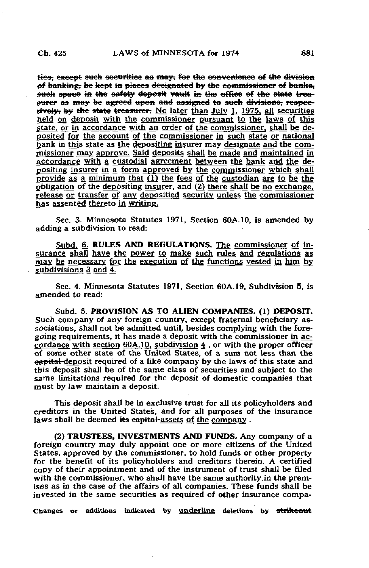ties; except such securities as may; for the convenience of the division of banking; be kept in places designated by the commissioner of banka. such space in the safety deposit vault in the office of the state treasurer as may be agreed upon and assigned to such divisions, respectively, by the state treasurer. No later than July  $1$ , 1975, all securities held on deposit with the commissioner pursuant to the laws of this state, or in accordance with an order of the commissioner, shall be deposited for the account of the commissioner in such state or national bank in this state as the depositing insurer may designate and the commissioner may approve. Said deposits shall be made and maintained in accordance with a custodial agreement between the bank and the depositing insurer in a form approved by the commissioner which shall provide as a minimum that (1) the fees of the custodian are to be the obligation of the depositing insurer, and (2) there shall be no exchange, release or transfer of any depositied security unless the commissioner has assented thereto in writing.

Sec. 3. Minnesota Statutes 1971, Section 60A.10, is amended by adding a subdivision to read:

Subd. 6. RULES AND REGULATIONS. The commissioner of insurance shall have the power to make such rules and regulations as may be necessary for the execution of the functions vested in him by subdivisions 3 and 4.

Sec. 4. Minnesota Statutes 1971, Section 60A.19, Subdivision 5, is amended to read:

Subd. 5. PROVISION AS TO ALIEN COMPANIES. (1) DEPOSIT. Such company of any foreign country, except fraternal beneficiary associations, shall not be admitted until, besides complying with the foregoing requirements, it has made a deposit with the commissioner in accordance with section 60A.10, subdivision 4 , or with the proper officer of some other state of the United States, of a sum not less than the eapital deposit required of a like company by the laws of this state and this deposit shall be of the same class of securities and subject to the same limitations required for the deposit of domestic companies that must by law maintain a deposit.

This deposit shall be in exclusive trust for all its policyholders and creditors in the United States, and for all purposes of the insurance laws shall be deemed its eapital-assets of the company.

(2) TRUSTEES, INVESTMENTS AND FUNDS. Any company of a foreign country may duly appoint one or more citizens of the United States, approved by the commissioner, to hold funds or other property for the benefit of its policyholders and creditors therein. A certified copy of their appointment and of the instrument of trust shall be filed with the commissioner, who shall have the same authority.in the premises as in the case of the affairs of all companies. These funds shall be invested in the same securities as required of other insurance compa-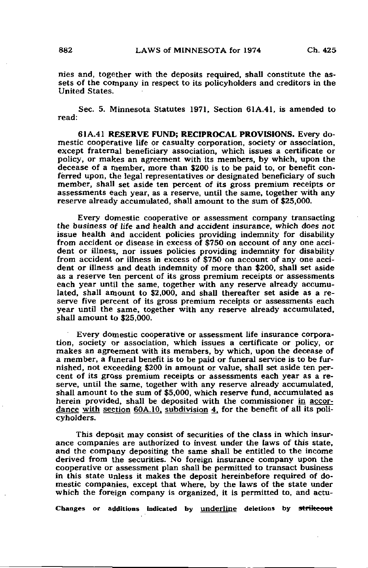nies and, together with the deposits required, shall constitute the assets of the company in respect to its policyholders and creditors in the United States.

Sec. 5. Minnesota Statutes 1971, Section 61A.41, is amended to read:

61A.41 RESERVE FUND; RECIPROCAL PROVISIONS. Every domestic cooperative life or casualty corporation, society or association, except fraternal beneficiary association, which issues a certificate or policy, or makes an agreement with its members, by which, upon the decease of a member, more than \$200 is to be paid to, or benefit conferred upon, the legal representatives or designated beneficiary of such member, shall set aside ten percent of its gross premium receipts or assessments each year, as a reserve, until the same, together with any reserve already accumulated, shall amount to the sum of \$25,000.

Every domestic cooperative or assessment company transacting the business of life and health and accident insurance, which does not issue health and accident policies providing indemnity for disability from accident or disease in excess of \$750 on account of any one accident or illness, nor issues policies providing indemnity for disability from accident or illness in excess of \$750 on account of any one accident or illness and death indemnity of more than \$200, shall set aside as a reserve ten percent of its gross premium receipts or assessments each year until the same, together with any reserve already accumulated, shall amount to \$2,000, and shall thereafter set aside as a reserve five percent of its gross premium receipts or assessments each year until the same, together with any reserve already accumulated, shall amount to \$25,000.

Every domestic cooperative or assessment life insurance corporation, society or association, which issues a certificate or policy, or makes an agreement with its members, by which, upon the decease of a member, a funeral benefit is to be paid or funeral service is to be furnished, not exceeding \$200 in amount or value, shall set aside ten percent of its gross premium receipts or assessments each year as a reserve, until the same, together with any reserve already accumulated, shall amount to the sum of \$5,000, which reserve fund, accumulated as herein provided, shall be deposited with the commissioner in accordance with section 60A.10. subdivision 4, for the benefit of all its policyholders.

This deposit may consist of securities of the class in which insurance companies are authorized to invest under the laws of this state, and the company depositing the same shall be entitled to the income derived from the securities. No foreign insurance company upon the cooperative or assessment plan shall be permitted to transact business in this state unless it makes the deposit hereinbefore required of domestic companies, except that where, by the laws of the state under which the foreign company is organized, it is permitted to, and actu-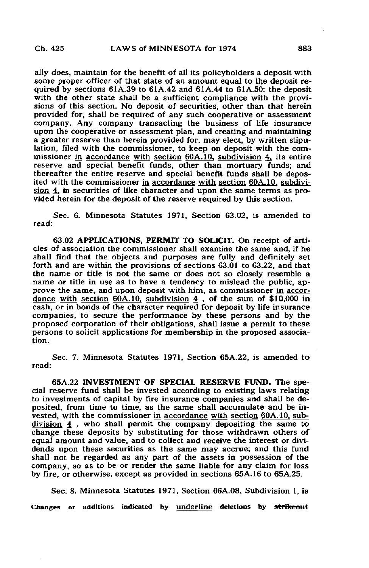ally does, maintain for the benefit of all its policyholders a deposit with some proper officer of that state of an amount equal to the deposit required by sections  $61A.39$  to  $61A.42$  and  $61A.44$  to  $61A.50$ ; the deposit with the other state shall be a sufficient compliance with the provisions of this section. No deposit of securities, other than that herein provided for, shall be required of any such cooperative or assessment company. Any company transacting the business of life insurance upon the cooperative or assessment plan, and creating and maintaining a greater reserve than herein provided for, may elect, by written stipulation, filed with the commissioner, to keep on deposit with the commissioner in accordance with section 60A. 10. subdivision 4, its entire reserve and special benefit funds, other than mortuary funds; and thereafter the entire reserve and special benefit funds shall be deposited with the commissioner in accordance with section 60A.10. subdivision 4, in securities of like character and upon the same terms as provided herein for the deposit of the reserve required by this section.

Sec. 6. Minnesota Statutes 1971, Section 63.02, is amended to read:

63.02 APPLICATIONS, PERMIT TO SOLICIT. On receipt of articles of association the commissioner shall examine the same and, if he shall find that the objects and purposes are fully and definitely set forth and are within the provisions of sections 63.01 to 63.22, and that the name or title is not the same or does not so closely resemble a name or title in use as to have a tendency to mislead the public, approve the same, and upon deposit with him, as commissioner in accordance with section 60A.10, subdivision  $4$  , of the sum of \$10,000 in cash, or in bonds of the character required for deposit by life insurance companies, to secure the performance by these persons and by the proposed corporation of their obligations, shall issue a permit to these persons to solicit applications for membership in the proposed association.

Sec. 7. Minnesota Statutes 1971, Section 65A.22, is amended to read:

65A.22 INVESTMENT OF SPECIAL RESERVE FUND. The Special reserve fund shall be invested according to existing laws relating to investments of capital by fire insurance companies and shall be deposited, from time to time, as the same shall accumulate and be invested, with the commissioner in accordance with section 60A. 10, subdivision 4 , who shall permit the company depositing the same to change these deposits by substituting for those withdrawn others of equal amount and value, and to collect and receive the interest or dividends upon these securities as the same may accrue; and this fund shall not be regarded as any part of the assets in possession of the company, so as to be or render the same liable for any claim for loss by fire, or otherwise, except as provided in sections 65A.16 to 65A.25.

Sec. 8. Minnesota Statutes 1971, Section 66A.08, Subdivision 1, is Changes or additions indicated by <u>underline</u> deletions by strikeout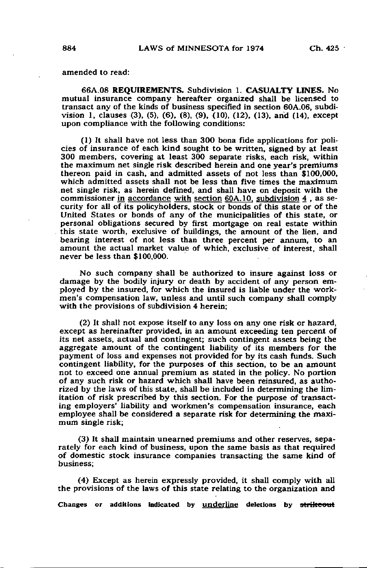amended to read:

66A.08 REQUIREMENTS. Subdivision 1. CASUALTY LINES. No mutual insurance company hereafter organized shall be licensed to transact any of the kinds of business specified in section 60A.06, subdivision 1, clauses (3), (5), (6), (8), (9), (10), (12), (13), and (14), except upon compliance with the following conditions:

(1) It shall have not less than 300 bona fide applications for policies of insurance of each kind sought to be written, signed by at least 300 members, covering at least 300 separate risks, each risk, within the maximum net single risk described herein and one year's premiums thereon paid in cash, and admitted assets of not less than \$100,000, which admitted assets shall not be less than five times the maximum net single risk, as herein defined, and shall have on deposit with the commissioner in accordance with section 6QA.10. subdivision 4 , as security for all of its policyholders, stock or bonds of this state or of the United States or bonds of any of the municipalities of this state, or personal obligations secured by first mortgage on real estate within . this state worth, exclusive of buildings, the amount of the lien, and bearing interest of not less than three percent per annum, to an amount the actual market value of which, exclusive of interest, shall never be less than \$100,000.

No such company shall be authorized to insure against loss or damage by the bodily injury or death by accident of any person employed by the insured, for which the insured is liable under the workmen's compensation law, unless and until such company shall comply with the provisions of subdivision 4 herein;

(2) It shall not expose itself to any loss on any one risk or hazard, except as hereinafter provided, in an amount exceeding ten percent of its net assets, actual and contingent; such contingent assets being the aggregate amount of the contingent liability of its members for the payment of loss and expenses not provided for by its cash funds. Such contingent liability, for the purposes of this section, to be an amount not to exceed one annual premium as stated in the policy. No portion of any such risk or hazard which shall have been reinsured, as authorized by the laws of this state, shall be included in determining the limitation of risk prescribed by this section. For the purpose of transacting employers' liability and workmen's compensation insurance, each employee shall be considered a separate risk for determining the maximum single risk;

(3) It shall maintain unearned premiums and other reserves, separately for each kind of business, upon the same basis as that required of domestic stock insurance companies transacting the same kind of business;

(4) Except as herein expressly provided, it shall comply with all the provisions of the laws of this state relating to the organization and